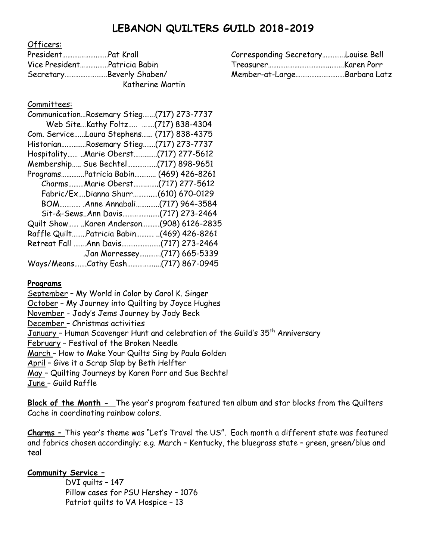# **LEBANON QUILTERS GUILD 2018-2019**

Officers:

|                              | Corresponding SecretaryLouise Bell |  |
|------------------------------|------------------------------------|--|
| Vice PresidentPatricia Babin |                                    |  |
| SecretaryBeverly Shaben/     | Member-at-LargeBarbara Latz        |  |
| Katherine Martin             |                                    |  |

### Committees:

| CommunicationRosemary Stieg(717) 273-7737  |                              |
|--------------------------------------------|------------------------------|
| Web SiteKathy Foltz (717) 838-4304         |                              |
| Com. ServiceLaura Stephens (717) 838-4375  |                              |
| HistorianRosemary Stieg(717) 273-7737      |                              |
| Hospitality Marie Oberst(717) 277-5612     |                              |
| Membership Sue Bechtel(717) 898-9651       |                              |
| ProgramsPatricia Babin (469) 426-8261      |                              |
| CharmsMarie Oberst(717) 277-5612           |                              |
| Fabric/ExDianna Shurr(610) 670-0129        |                              |
| BOM Anne Annabali(717) 964-3584            |                              |
| Sit-&-SewsAnn Davis(717) 273-2464          |                              |
| Quilt Show  Karen Anderson (908) 6126-2835 |                              |
| Raffle QuiltPatricia Babin (469) 426-8261  |                              |
|                                            |                              |
|                                            | .Jan Morressey(717) 665-5339 |
|                                            |                              |

### **Programs**

September – My World in Color by Carol K. Singer October – My Journey into Quilting by Joyce Hughes November - Jody's Jems Journey by Jody Beck December – Christmas activities January - Human Scavenger Hunt and celebration of the Guild's 35<sup>th</sup> Anniversary February – Festival of the Broken Needle March – How to Make Your Quilts Sing by Paula Golden April – Give it a Scrap Slap by Beth Helfter May – Quilting Journeys by Karen Porr and Sue Bechtel June – Guild Raffle

**Block of the Month -** The year's program featured ten album and star blocks from the Quilters Cache in coordinating rainbow colors.

**Charms –** This year's theme was "Let's Travel the US". Each month a different state was featured and fabrics chosen accordingly; e.g. March – Kentucky, the bluegrass state – green, green/blue and teal

## **Community Service –**

DVI quilts – 147 Pillow cases for PSU Hershey – 1076 Patriot quilts to VA Hospice – 13